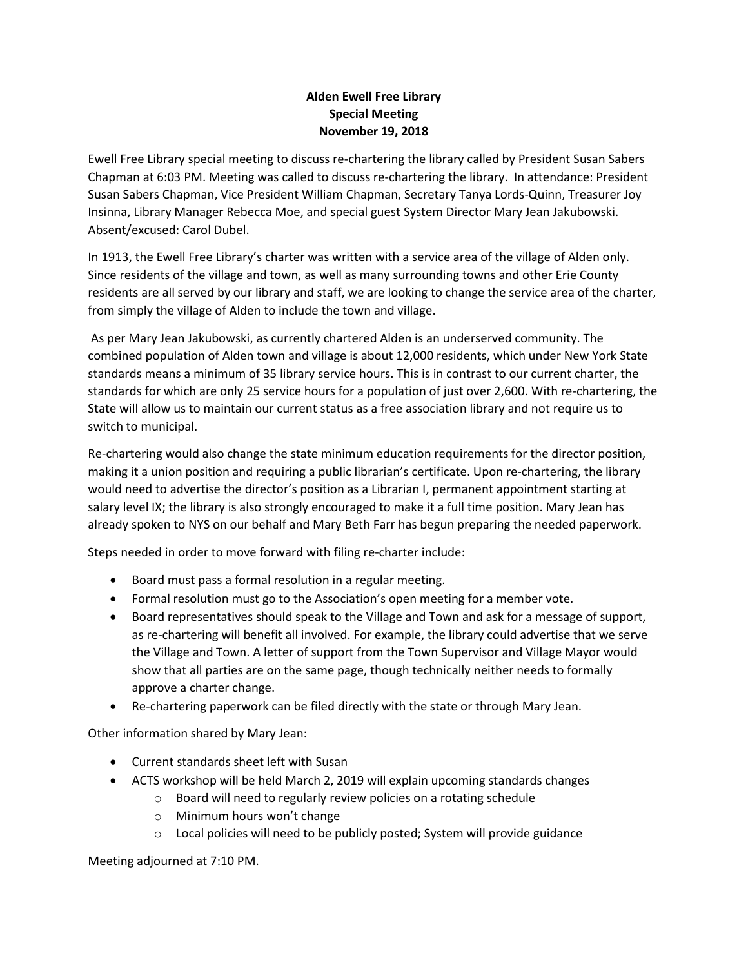## **Alden Ewell Free Library Special Meeting November 19, 2018**

Ewell Free Library special meeting to discuss re-chartering the library called by President Susan Sabers Chapman at 6:03 PM. Meeting was called to discuss re-chartering the library. In attendance: President Susan Sabers Chapman, Vice President William Chapman, Secretary Tanya Lords-Quinn, Treasurer Joy Insinna, Library Manager Rebecca Moe, and special guest System Director Mary Jean Jakubowski. Absent/excused: Carol Dubel.

In 1913, the Ewell Free Library's charter was written with a service area of the village of Alden only. Since residents of the village and town, as well as many surrounding towns and other Erie County residents are all served by our library and staff, we are looking to change the service area of the charter, from simply the village of Alden to include the town and village.

As per Mary Jean Jakubowski, as currently chartered Alden is an underserved community. The combined population of Alden town and village is about 12,000 residents, which under New York State standards means a minimum of 35 library service hours. This is in contrast to our current charter, the standards for which are only 25 service hours for a population of just over 2,600. With re-chartering, the State will allow us to maintain our current status as a free association library and not require us to switch to municipal.

Re-chartering would also change the state minimum education requirements for the director position, making it a union position and requiring a public librarian's certificate. Upon re-chartering, the library would need to advertise the director's position as a Librarian I, permanent appointment starting at salary level IX; the library is also strongly encouraged to make it a full time position. Mary Jean has already spoken to NYS on our behalf and Mary Beth Farr has begun preparing the needed paperwork.

Steps needed in order to move forward with filing re-charter include:

- Board must pass a formal resolution in a regular meeting.
- Formal resolution must go to the Association's open meeting for a member vote.
- Board representatives should speak to the Village and Town and ask for a message of support, as re-chartering will benefit all involved. For example, the library could advertise that we serve the Village and Town. A letter of support from the Town Supervisor and Village Mayor would show that all parties are on the same page, though technically neither needs to formally approve a charter change.
- Re-chartering paperwork can be filed directly with the state or through Mary Jean.

Other information shared by Mary Jean:

- Current standards sheet left with Susan
- ACTS workshop will be held March 2, 2019 will explain upcoming standards changes
	- o Board will need to regularly review policies on a rotating schedule
	- o Minimum hours won't change
	- $\circ$  Local policies will need to be publicly posted; System will provide guidance

Meeting adjourned at 7:10 PM.